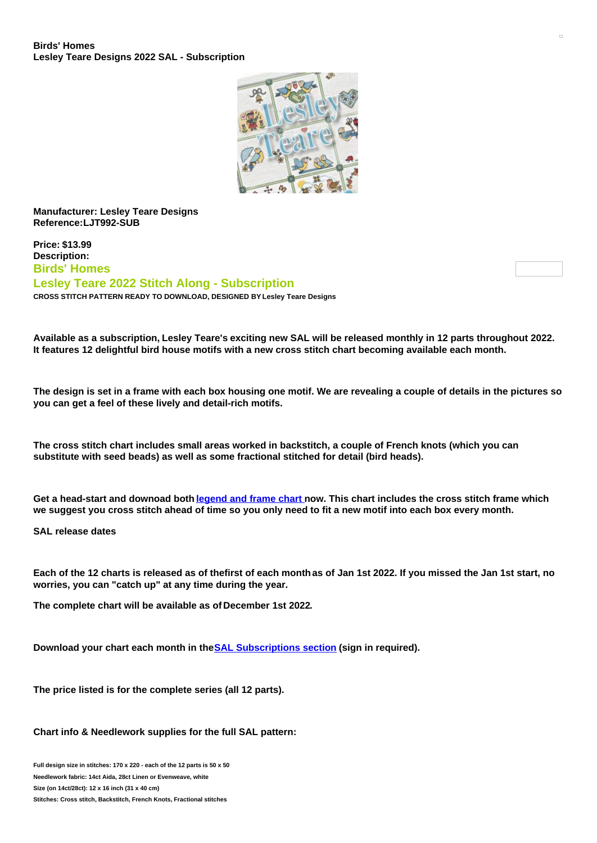

## **Manufacturer: Lesley Teare Designs Reference:LJT992-SUB**

**Price: \$13.99 Description: Birds' Homes Lesley Teare 2022 Stitch Along - Subscription CROSS STITCH PATTERN READY TO DOWNLOAD, DESIGNED BY Lesley Teare Designs**

Available as a subscription, Lesley Teare's exciting new SAL will be released monthly in 12 parts throughout 2022. **It features 12 delightful bird house motifs with a new cross stitch chart becoming available each month.**

The design is set in a frame with each box housing one motif. We are revealing a couple of details in the pictures so **you can get a feel of these lively and detail-rich motifs.**

The cross stitch chart includes small areas worked in backstitch, a couple of French knots (which you can **substitute with seed beads) as well as some fractional stitched for detail (bird heads).**

Get a head-start and downoad both [legend](https://www.creativepoppypatterns.com/images/Image/File/SAL/LJT992 - 2022 SAL/LESLEY-TEARE_2022-SAL_Birds-Home_Frame.pdf) and frame chart now. This chart includes the cross stitch frame which we suggest you cross stitch ahead of time so you only need to fit a new motif into each box every month.

**SAL release dates**

Each of the 12 charts is released as of thefirst of each month as of Jan 1st 2022. If you missed the Jan 1st start, no **worries, you can "catch up" at any time during the year.**

**The complete chart will be available as of December 1st 2022.**

**Download your chart each month in theSAL [Subscriptions](https://www.creativepoppypatterns.com/subscriptions-download-page-pxl-166.html) section (sign in required).**

**The price listed is for the complete series (all 12 parts).**

## **Chart info & Needlework supplies for the full SAL pattern:**

**Full design size in stitches: 170 x 220 - each of the 12 parts is 50 x 50 Needlework fabric: 14ct Aida, 28ct Linen or Evenweave, white Size (on 14ct/28ct): 12 x 16 inch (31 x 40 cm) Stitches: Cross stitch, Backstitch, French Knots, Fractional stitches**